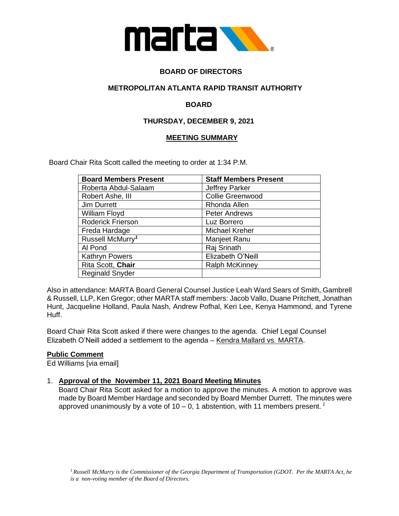

# **BOARD OF DIRECTORS**

## **METROPOLITAN ATLANTA RAPID TRANSIT AUTHORITY**

## **BOARD**

## **THURSDAY, DECEMBER 9, 2021**

### **MEETING SUMMARY**

Board Chair Rita Scott called the meeting to order at 1:34 P.M.

| <b>Board Members Present</b> | <b>Staff Members Present</b> |
|------------------------------|------------------------------|
| Roberta Abdul-Salaam         | <b>Jeffrey Parker</b>        |
| Robert Ashe, III             | <b>Collie Greenwood</b>      |
| Jim Durrett                  | Rhonda Allen                 |
| William Floyd                | <b>Peter Andrews</b>         |
| Roderick Frierson            | Luz Borrero                  |
| Freda Hardage                | <b>Michael Kreher</b>        |
| Russell McMurry <sup>1</sup> | Manjeet Ranu                 |
| Al Pond                      | Raj Srinath                  |
| <b>Kathryn Powers</b>        | Elizabeth O'Neill            |
| Rita Scott, Chair            | <b>Ralph McKinney</b>        |
| <b>Reginald Snyder</b>       |                              |

Also in attendance: MARTA Board General Counsel Justice Leah Ward Sears of Smith, Gambrell & Russell, LLP, Ken Gregor; other MARTA staff members: Jacob Vallo, Duane Pritchett, Jonathan Hunt, Jacqueline Holland, Paula Nash, Andrew Pofhal, Keri Lee, Kenya Hammond, and Tyrene Huff.

Board Chair Rita Scott asked if there were changes to the agenda. Chief Legal Counsel Elizabeth O'Neill added a settlement to the agenda – Kendra Mallard vs. MARTA.

### **Public Comment**

Ed Williams [via email]

### 1. **Approval of the November 11, 2021 Board Meeting Minutes**

Board Chair Rita Scott asked for a motion to approve the minutes. A motion to approve was made by Board Member Hardage and seconded by Board Member Durrett. The minutes were approved unanimously by a vote of 10 – 0, 1 abstention, with 11 members present. *<sup>1</sup>*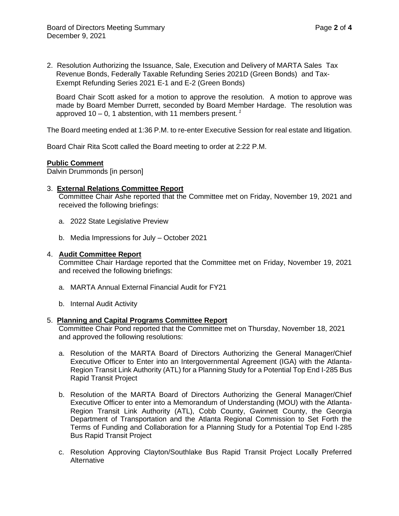2. Resolution Authorizing the Issuance, Sale, Execution and Delivery of MARTA Sales Tax Revenue Bonds, Federally Taxable Refunding Series 2021D (Green Bonds) and Tax-Exempt Refunding Series 2021 E-1 and E-2 (Green Bonds)

Board Chair Scott asked for a motion to approve the resolution. A motion to approve was made by Board Member Durrett, seconded by Board Member Hardage. The resolution was approved 10 – 0, 1 abstention, with 11 members present. *<sup>1</sup>*

The Board meeting ended at 1:36 P.M. to re-enter Executive Session for real estate and litigation.

Board Chair Rita Scott called the Board meeting to order at 2:22 P.M.

#### **Public Comment**

Dalvin Drummonds [in person]

#### 3. **External Relations Committee Report**

Committee Chair Ashe reported that the Committee met on Friday, November 19, 2021 and received the following briefings:

- a. 2022 State Legislative Preview
- b. Media Impressions for July October 2021

#### 4. **Audit Committee Report**

Committee Chair Hardage reported that the Committee met on Friday, November 19, 2021 and received the following briefings:

- a. MARTA Annual External Financial Audit for FY21
- b. Internal Audit Activity

#### 5. **Planning and Capital Programs Committee Report**

Committee Chair Pond reported that the Committee met on Thursday, November 18, 2021 and approved the following resolutions:

- a. Resolution of the MARTA Board of Directors Authorizing the General Manager/Chief Executive Officer to Enter into an Intergovernmental Agreement (IGA) with the Atlanta-Region Transit Link Authority (ATL) for a Planning Study for a Potential Top End I-285 Bus Rapid Transit Project
- b. Resolution of the MARTA Board of Directors Authorizing the General Manager/Chief Executive Officer to enter into a Memorandum of Understanding (MOU) with the Atlanta-Region Transit Link Authority (ATL), Cobb County, Gwinnett County, the Georgia Department of Transportation and the Atlanta Regional Commission to Set Forth the Terms of Funding and Collaboration for a Planning Study for a Potential Top End I-285 Bus Rapid Transit Project
- c. Resolution Approving Clayton/Southlake Bus Rapid Transit Project Locally Preferred Alternative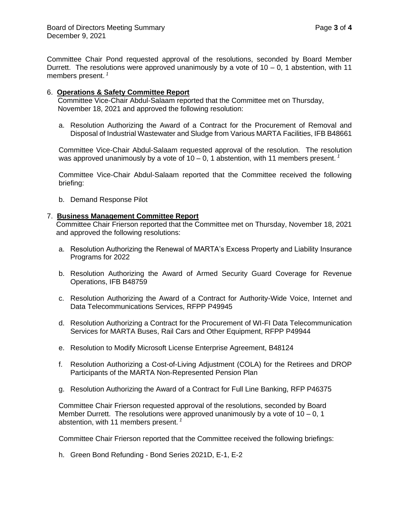Committee Chair Pond requested approval of the resolutions, seconded by Board Member Durrett. The resolutions were approved unanimously by a vote of  $10 - 0$ , 1 abstention, with 11 members present. *<sup>1</sup>*

#### 6. **Operations & Safety Committee Report**

Committee Vice-Chair Abdul-Salaam reported that the Committee met on Thursday, November 18, 2021 and approved the following resolution:

a. Resolution Authorizing the Award of a Contract for the Procurement of Removal and Disposal of Industrial Wastewater and Sludge from Various MARTA Facilities, IFB B48661

Committee Vice-Chair Abdul-Salaam requested approval of the resolution. The resolution was approved unanimously by a vote of  $10 - 0$ , 1 abstention, with 11 members present.<sup>1</sup>

Committee Vice-Chair Abdul-Salaam reported that the Committee received the following briefing:

b. Demand Response Pilot

#### 7. **Business Management Committee Report**

Committee Chair Frierson reported that the Committee met on Thursday, November 18, 2021 and approved the following resolutions:

- a. Resolution Authorizing the Renewal of MARTA's Excess Property and Liability Insurance Programs for 2022
- b. Resolution Authorizing the Award of Armed Security Guard Coverage for Revenue Operations, IFB B48759
- c. Resolution Authorizing the Award of a Contract for Authority-Wide Voice, Internet and Data Telecommunications Services, RFPP P49945
- d. Resolution Authorizing a Contract for the Procurement of WI-FI Data Telecommunication Services for MARTA Buses, Rail Cars and Other Equipment, RFPP P49944
- e. Resolution to Modify Microsoft License Enterprise Agreement, B48124
- f. Resolution Authorizing a Cost-of-Living Adjustment (COLA) for the Retirees and DROP Participants of the MARTA Non-Represented Pension Plan
- g. Resolution Authorizing the Award of a Contract for Full Line Banking, RFP P46375

Committee Chair Frierson requested approval of the resolutions, seconded by Board Member Durrett. The resolutions were approved unanimously by a vote of  $10 - 0$ , 1 abstention, with 11 members present. *<sup>1</sup>*

Committee Chair Frierson reported that the Committee received the following briefings:

h. Green Bond Refunding - Bond Series 2021D, E-1, E-2